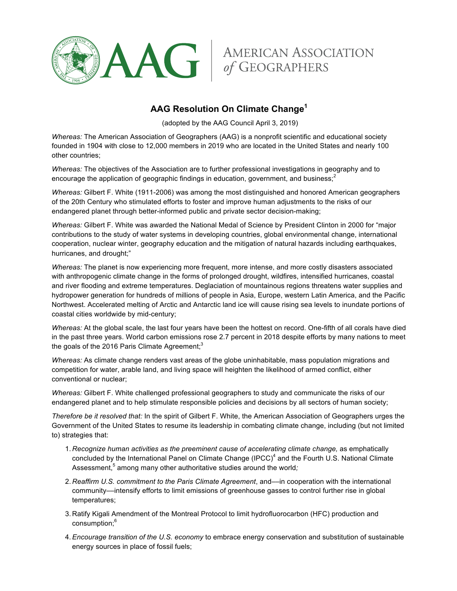



## **AAG Resolution On Climate Change<sup>1</sup>**

(adopted by the AAG Council April 3, 2019)

*Whereas:* The American Association of Geographers (AAG) is a nonprofit scientific and educational society founded in 1904 with close to 12,000 members in 2019 who are located in the United States and nearly 100 other countries;

*Whereas:* The objectives of the Association are to further professional investigations in geography and to encourage the application of geographic findings in education, government, and business;<sup>2</sup>

*Whereas:* Gilbert F. White (1911-2006) was among the most distinguished and honored American geographers of the 20th Century who stimulated efforts to foster and improve human adjustments to the risks of our endangered planet through better-informed public and private sector decision-making;

*Whereas:* Gilbert F. White was awarded the National Medal of Science by President Clinton in 2000 for "major contributions to the study of water systems in developing countries, global environmental change, international cooperation, nuclear winter, geography education and the mitigation of natural hazards including earthquakes, hurricanes, and drought;"

*Whereas:* The planet is now experiencing more frequent, more intense, and more costly disasters associated with anthropogenic climate change in the forms of prolonged drought, wildfires, intensified hurricanes, coastal and river flooding and extreme temperatures. Deglaciation of mountainous regions threatens water supplies and hydropower generation for hundreds of millions of people in Asia, Europe, western Latin America, and the Pacific Northwest. Accelerated melting of Arctic and Antarctic land ice will cause rising sea levels to inundate portions of coastal cities worldwide by mid-century;

*Whereas:* At the global scale, the last four years have been the hottest on record. One-fifth of all corals have died in the past three years. World carbon emissions rose 2.7 percent in 2018 despite efforts by many nations to meet the goals of the 2016 Paris Climate Agreement; $3$ 

*Whereas:* As climate change renders vast areas of the globe uninhabitable, mass population migrations and competition for water, arable land, and living space will heighten the likelihood of armed conflict, either conventional or nuclear;

*Whereas:* Gilbert F. White challenged professional geographers to study and communicate the risks of our endangered planet and to help stimulate responsible policies and decisions by all sectors of human society;

*Therefore be it resolved that:* In the spirit of Gilbert F. White, the American Association of Geographers urges the Government of the United States to resume its leadership in combating climate change, including (but not limited to) strategies that:

- 1. *Recognize human activities as the preeminent cause of accelerating climate change,* as emphatically concluded by the International Panel on Climate Change (IPCC)<sup>4</sup> and the Fourth U.S. National Climate Assessment,<sup>5</sup> among many other authoritative studies around the world;
- 2. *Reaffirm U.S. commitment to the Paris Climate Agreement*, and––in cooperation with the international community––intensify efforts to limit emissions of greenhouse gasses to control further rise in global temperatures;
- 3. Ratify Kigali Amendment of the Montreal Protocol to limit hydrofluorocarbon (HFC) production and consumption;<sup>6</sup>
- 4.*Encourage transition of the U.S. economy* to embrace energy conservation and substitution of sustainable energy sources in place of fossil fuels;